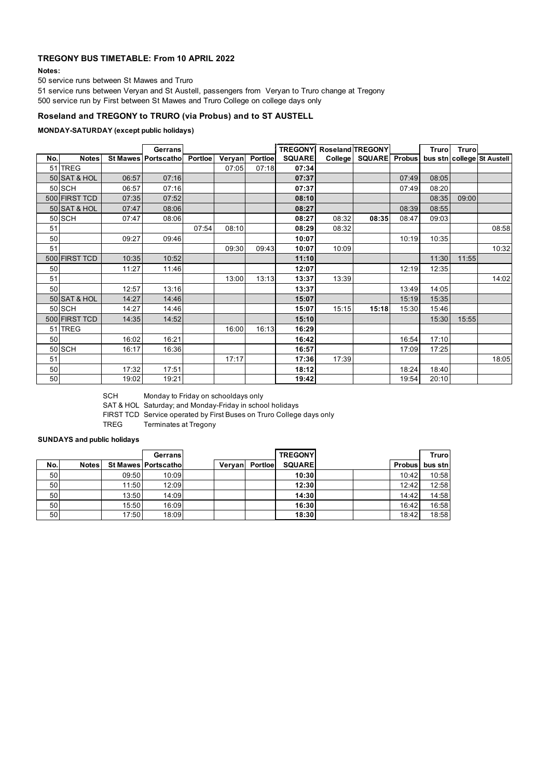# **TREGONY BUS TIMETABLE: From 10 APRIL 2022**

**Notes:**

50 service runs between St Mawes and Truro

51 service runs between Veryan and St Austell, passengers from Veryan to Truro change at Tregony 500 service run by First between St Mawes and Truro College on college days only

# **Roseland and TREGONY to TRURO (via Probus) and to ST AUSTELL**

## **MONDAY-SATURDAY (except public holidays)**

|                 |               |       | <b>Gerrans</b>        |                |       |                | <b>TREGONY</b> Roseland <b>TREGONY</b> |       |                       |       | Trurol | <b>Truro</b> |                            |
|-----------------|---------------|-------|-----------------------|----------------|-------|----------------|----------------------------------------|-------|-----------------------|-------|--------|--------------|----------------------------|
| No.             | <b>Notes</b>  |       | St Mawes   Portscatho | <b>Portloe</b> |       | Veryan Portloe | <b>SQUARE</b>                          |       | College SQUARE Probus |       |        |              | bus stn college St Austell |
|                 | 51 TREG       |       |                       |                | 07:05 | 07:18          | 07:34                                  |       |                       |       |        |              |                            |
|                 | 50 SAT & HOL  | 06:57 | 07:16                 |                |       |                | 07:37                                  |       |                       | 07:49 | 08:05  |              |                            |
|                 | 50 SCH        | 06:57 | 07:16                 |                |       |                | 07:37                                  |       |                       | 07:49 | 08:20  |              |                            |
|                 | 500 FIRST TCD | 07:35 | 07:52                 |                |       |                | 08:10                                  |       |                       |       | 08:35  | 09:00        |                            |
|                 | 50 SAT & HOL  | 07:47 | 08:06                 |                |       |                | 08:27                                  |       |                       | 08:39 | 08:55  |              |                            |
|                 | <b>50 SCH</b> | 07:47 | 08:06                 |                |       |                | 08:27                                  | 08:32 | 08:35                 | 08:47 | 09:03  |              |                            |
| 51              |               |       |                       | 07:54          | 08:10 |                | 08:29                                  | 08:32 |                       |       |        |              | 08:58                      |
| 50              |               | 09:27 | 09:46                 |                |       |                | 10:07                                  |       |                       | 10:19 | 10:35  |              |                            |
| 51              |               |       |                       |                | 09:30 | 09:43          | 10:07                                  | 10:09 |                       |       |        |              | 10:32                      |
|                 | 500 FIRST TCD | 10:35 | 10:52                 |                |       |                | 11:10                                  |       |                       |       | 11:30  | 11:55        |                            |
| 50              |               | 11:27 | 11:46                 |                |       |                | 12:07                                  |       |                       | 12:19 | 12:35  |              |                            |
| 51              |               |       |                       |                | 13:00 | 13:13          | 13:37                                  | 13:39 |                       |       |        |              | 14:02                      |
| 50              |               | 12:57 | 13:16                 |                |       |                | 13:37                                  |       |                       | 13:49 | 14:05  |              |                            |
|                 | 50 SAT & HOL  | 14:27 | 14:46                 |                |       |                | 15:07                                  |       |                       | 15:19 | 15:35  |              |                            |
|                 | 50 SCH        | 14:27 | 14:46                 |                |       |                | 15:07                                  | 15:15 | 15:18                 | 15:30 | 15:46  |              |                            |
|                 | 500 FIRST TCD | 14:35 | 14:52                 |                |       |                | 15:10                                  |       |                       |       | 15:30  | 15:55        |                            |
|                 | 51 TREG       |       |                       |                | 16:00 | 16:13          | 16:29                                  |       |                       |       |        |              |                            |
| 50 <sub>1</sub> |               | 16:02 | 16:21                 |                |       |                | 16:42                                  |       |                       | 16:54 | 17:10  |              |                            |
|                 | 50 SCH        | 16:17 | 16:36                 |                |       |                | 16:57                                  |       |                       | 17:09 | 17:25  |              |                            |
| 51              |               |       |                       |                | 17:17 |                | 17:36                                  | 17:39 |                       |       |        |              | 18:05                      |
| 50              |               | 17:32 | 17:51                 |                |       |                | 18:12                                  |       |                       | 18:24 | 18:40  |              |                            |
| 50              |               | 19:02 | 19:21                 |                |       |                | 19:42                                  |       |                       | 19:54 | 20:10  |              |                            |

SCH Monday to Friday on schooldays only

SAT & HOL Saturday; and Monday-Friday in school holidays

FIRST TCD Service operated by First Buses on Truro College days only

TREG Terminates at Tregony

## **SUNDAYS and public holidays**

|     |              |       | Gerrans                     |         |         | <b>TREGONY</b> |               | <b>Truro</b> |
|-----|--------------|-------|-----------------------------|---------|---------|----------------|---------------|--------------|
| No. | <b>Notes</b> |       | <b>St Mawes Portscathol</b> | Vervanl | Portloe | <b>SQUARE</b>  | <b>Probus</b> | bus stn      |
| 50  |              | 09:50 | 10:09                       |         |         | 10:30          | 10:42         | 10:58        |
| 50  |              | 11:50 | 12:09                       |         |         | 12:30          | 12:42         | 12:58        |
| 50  |              | 13:50 | 14:09                       |         |         | 14:30          | 14:42         | 14:58        |
| 50  |              | 15:50 | 16:09                       |         |         | 16:30          | 16:42         | 16:58        |
| 50  |              | 17:50 | 18:09                       |         |         | 18:30          | 18:42         | 18:58        |